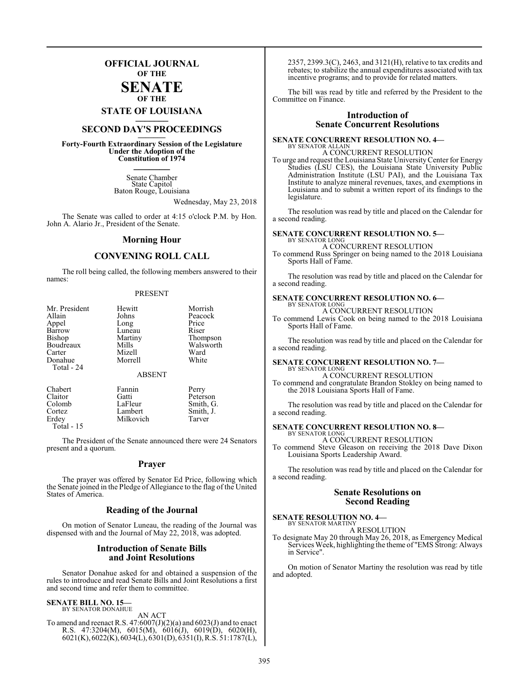### **OFFICIAL JOURNAL OF THE**

#### **SENATE OF THE**

**STATE OF LOUISIANA \_\_\_\_\_\_\_**

## **SECOND DAY'S PROCEEDINGS \_\_\_\_\_\_\_**

**Forty-Fourth Extraordinary Session of the Legislature Under the Adoption of the Constitution of 1974 \_\_\_\_\_\_\_**

> Senate Chamber State Capitol Baton Rouge, Louisiana

> > Wednesday, May 23, 2018

The Senate was called to order at 4:15 o'clock P.M. by Hon. John A. Alario Jr., President of the Senate.

#### **Morning Hour**

### **CONVENING ROLL CALL**

The roll being called, the following members answered to their names:

#### PRESENT

| Mr. President<br>Allain<br>Appel<br>Barrow<br>Bishop<br>Boudreaux<br>Carter<br>Donahue<br>Total - 24 | Hewitt<br>Johns<br>Long<br>Luneau<br>Martiny<br>Mills<br>Mizell<br>Morrell | Morrish<br>Peacock<br>Price<br>Riser<br>Thompson<br>Walsworth<br>Ward<br>White |
|------------------------------------------------------------------------------------------------------|----------------------------------------------------------------------------|--------------------------------------------------------------------------------|
|                                                                                                      | <b>ABSENT</b>                                                              |                                                                                |
| Chabert<br>Claitor<br>Colomb                                                                         | Fannin<br>Gatti<br>LaFleur                                                 | Perry<br>Peterson<br>Smith, G.                                                 |

Cortez Lambert Smith, J.<br>
Erdey Milkovich Tarver Milkovich

The President of the Senate announced there were 24 Senators present and a quorum.

#### **Prayer**

The prayer was offered by Senator Ed Price, following which the Senate joined in the Pledge of Allegiance to the flag of the United States of America.

#### **Reading of the Journal**

On motion of Senator Luneau, the reading of the Journal was dispensed with and the Journal of May 22, 2018, was adopted.

#### **Introduction of Senate Bills and Joint Resolutions**

Senator Donahue asked for and obtained a suspension of the rules to introduce and read Senate Bills and Joint Resolutions a first and second time and refer them to committee.

#### **SENATE BILL NO. 15—**

Total - 15

BY SENATOR DONAHUE

AN ACT To amend and reenact R.S.  $47:6007(J)(2)(a)$  and  $6023(J)$  and to enact R.S. 47:3204(M), 6015(M), 6016(J), 6019(D), 6020(H), 6021(K), 6022(K), 6034(L), 6301(D), 6351(I), R.S. 51:1787(L), 2357, 2399.3(C), 2463, and 3121(H), relative to tax credits and rebates; to stabilize the annual expenditures associated with tax incentive programs; and to provide for related matters.

The bill was read by title and referred by the President to the Committee on Finance.

#### **Introduction of Senate Concurrent Resolutions**

#### **SENATE CONCURRENT RESOLUTION NO. 4—** BY SENATOR ALLAIN

A CONCURRENT RESOLUTION

To urge and request the Louisiana State UniversityCenter for Energy Studies (LSU CES), the Louisiana State University Public Administration Institute (LSU PAI), and the Louisiana Tax Institute to analyze mineral revenues, taxes, and exemptions in Louisiana and to submit a written report of its findings to the legislature.

The resolution was read by title and placed on the Calendar for a second reading.

#### **SENATE CONCURRENT RESOLUTION NO. 5—** BY SENATOR LONG

A CONCURRENT RESOLUTION

To commend Russ Springer on being named to the 2018 Louisiana Sports Hall of Fame.

The resolution was read by title and placed on the Calendar for a second reading.

#### **SENATE CONCURRENT RESOLUTION NO. 6—**

BY SENATOR LONG A CONCURRENT RESOLUTION

To commend Lewis Cook on being named to the 2018 Louisiana Sports Hall of Fame.

The resolution was read by title and placed on the Calendar for a second reading.

#### **SENATE CONCURRENT RESOLUTION NO. 7—** BY SENATOR LONG

A CONCURRENT RESOLUTION To commend and congratulate Brandon Stokley on being named to the 2018 Louisiana Sports Hall of Fame.

The resolution was read by title and placed on the Calendar for a second reading.

#### **SENATE CONCURRENT RESOLUTION NO. 8—** BY SENATOR LONG

A CONCURRENT RESOLUTION To commend Steve Gleason on receiving the 2018 Dave Dixon Louisiana Sports Leadership Award.

The resolution was read by title and placed on the Calendar for a second reading.

#### **Senate Resolutions on Second Reading**

#### **SENATE RESOLUTION NO. 4—**

BY SENATOR MARTINY A RESOLUTION

To designate May 20 through May 26, 2018, as Emergency Medical Services Week, highlighting the theme of "EMS Strong: Always in Service".

On motion of Senator Martiny the resolution was read by title and adopted.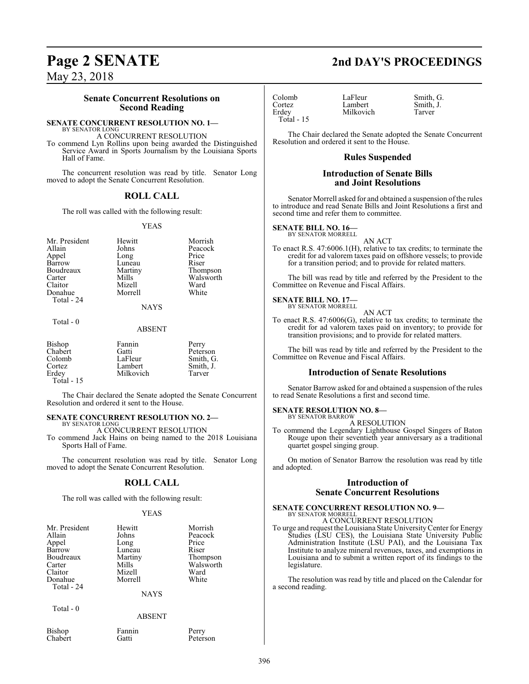May 23, 2018

### **Senate Concurrent Resolutions on Second Reading**

#### **SENATE CONCURRENT RESOLUTION NO. 1—**

BY SENATOR LONG A CONCURRENT RESOLUTION

To commend Lyn Rollins upon being awarded the Distinguished Service Award in Sports Journalism by the Louisiana Sports Hall of Fame.

The concurrent resolution was read by title. Senator Long moved to adopt the Senate Concurrent Resolution.

### **ROLL CALL**

The roll was called with the following result:

#### YEAS

Mr. President Hewitt Morrish<br>Allain Johns Peacock Allain Johns Peacock Long Barrow Luneau Riser<br>Boudreaux Martiny Thompson Boudreaux Martin<br>Carter Mills Claitor Mizell Ward Donahue Total - 24

# Mills Walsworth<br>
Mizell Ward

**NAYS** 

#### Total - 0

#### ABSENT

| <b>Bishop</b> | Fannin    | Perry     |
|---------------|-----------|-----------|
| Chabert       | Gatti     | Peterson  |
| Colomb        | LaFleur   | Smith, G. |
| Cortez        | Lambert   | Smith, J. |
| Erdey         | Milkovich | Tarver    |
| Total $-15$   |           |           |

The Chair declared the Senate adopted the Senate Concurrent Resolution and ordered it sent to the House.

#### **SENATE CONCURRENT RESOLUTION NO. 2—** BY SENATOR LONG

A CONCURRENT RESOLUTION

To commend Jack Hains on being named to the 2018 Louisiana Sports Hall of Fame.

The concurrent resolution was read by title. Senator Long moved to adopt the Senate Concurrent Resolution.

### **ROLL CALL**

The roll was called with the following result:

#### YEAS

| Mr. President | Hewitt      | Morrish   |
|---------------|-------------|-----------|
| Allain        | Johns       | Peacock   |
| Appel         | Long        | Price     |
| Barrow        | Luneau      | Riser     |
| Boudreaux     | Martiny     | Thompson  |
| Carter        | Mills       | Walsworth |
| Claitor       | Mizell      | Ward      |
| Donahue       | Morrell     | White     |
| Total - 24    |             |           |
|               | <b>NAYS</b> |           |

Total - 0

#### ABSENT

Bishop Fannin Perry<br>Chabert Gatti Peters

Peterson

Colomb LaFleur Smith, G.<br>
Cortez Lambert Smith, J. Cortez Lambert Smith,<br>Erdev Milkovich Tarver Total - 15

Milkovich

The Chair declared the Senate adopted the Senate Concurrent Resolution and ordered it sent to the House.

#### **Rules Suspended**

#### **Introduction of Senate Bills and Joint Resolutions**

Senator Morrell asked for and obtained a suspension of the rules to introduce and read Senate Bills and Joint Resolutions a first and second time and refer them to committee.

#### **SENATE BILL NO. 16—** BY SENATOR MORRELL

AN ACT

To enact R.S. 47:6006.1(H), relative to tax credits; to terminate the credit for ad valorem taxes paid on offshore vessels; to provide for a transition period; and to provide for related matters.

The bill was read by title and referred by the President to the Committee on Revenue and Fiscal Affairs.

#### **SENATE BILL NO. 17—** BY SENATOR MORRELL

AN ACT

To enact R.S. 47:6006(G), relative to tax credits; to terminate the credit for ad valorem taxes paid on inventory; to provide for transition provisions; and to provide for related matters.

The bill was read by title and referred by the President to the Committee on Revenue and Fiscal Affairs.

#### **Introduction of Senate Resolutions**

Senator Barrow asked for and obtained a suspension of the rules to read Senate Resolutions a first and second time.

#### **SENATE RESOLUTION NO. 8—** BY SENATOR BARROW

A RESOLUTION

To commend the Legendary Lighthouse Gospel Singers of Baton Rouge upon their seventieth year anniversary as a traditional quartet gospel singing group.

On motion of Senator Barrow the resolution was read by title and adopted.

### **Introduction of Senate Concurrent Resolutions**

### **SENATE CONCURRENT RESOLUTION NO. 9—**

BY SENATOR MORRELL A CONCURRENT RESOLUTION

To urge and request the Louisiana State UniversityCenter for Energy Studies (LSU CES), the Louisiana State University Public Administration Institute (LSU PAI), and the Louisiana Tax Institute to analyze mineral revenues, taxes, and exemptions in Louisiana and to submit a written report of its findings to the legislature.

The resolution was read by title and placed on the Calendar for a second reading.

## **Page 2 SENATE 2nd DAY'S PROCEEDINGS**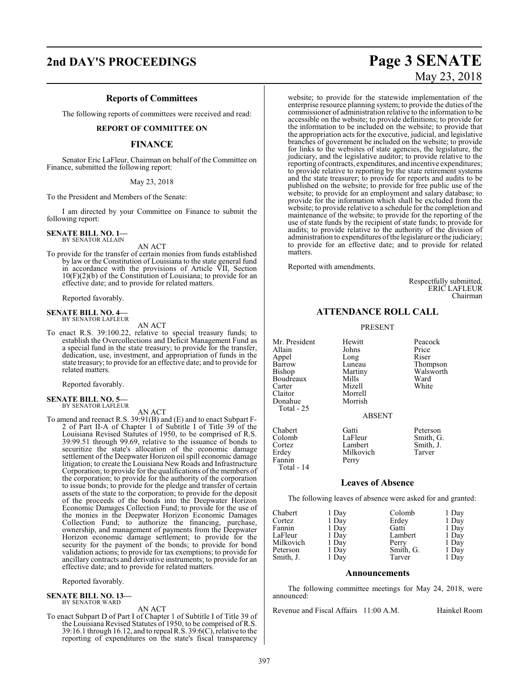### **Reports of Committees**

The following reports of committees were received and read:

#### **REPORT OF COMMITTEE ON**

#### **FINANCE**

Senator Eric LaFleur, Chairman on behalf of the Committee on Finance, submitted the following report:

#### May 23, 2018

To the President and Members of the Senate:

I am directed by your Committee on Finance to submit the following report:

**SENATE BILL NO. 1—** BY SENATOR ALLAIN

AN ACT

To provide for the transfer of certain monies from funds established by law or the Constitution of Louisiana to the state general fund in accordance with the provisions of Article VII, Section 10(F)(2)(b) of the Constitution of Louisiana; to provide for an effective date; and to provide for related matters.

Reported favorably.

#### **SENATE BILL NO. 4—** BY SENATOR LAFLEUR

AN ACT

To enact R.S. 39:100.22, relative to special treasury funds; to establish the Overcollections and Deficit Management Fund as a special fund in the state treasury; to provide for the transfer, dedication, use, investment, and appropriation of funds in the state treasury; to provide for an effective date; and to provide for related matters.

Reported favorably.

#### **SENATE BILL NO. 5—** BY SENATOR LAFLEUR

#### AN ACT

To amend and reenact R.S. 39:91(B) and (E) and to enact Subpart F-2 of Part II-A of Chapter 1 of Subtitle I of Title 39 of the Louisiana Revised Statutes of 1950, to be comprised of R.S. 39:99.51 through 99.69, relative to the issuance of bonds to securitize the state's allocation of the economic damage settlement of the Deepwater Horizon oil spill economic damage litigation; to create the Louisiana New Roads and Infrastructure Corporation; to provide for the qualifications of the members of the corporation; to provide for the authority of the corporation to issue bonds; to provide for the pledge and transfer of certain assets of the state to the corporation; to provide for the deposit of the proceeds of the bonds into the Deepwater Horizon Economic Damages Collection Fund; to provide for the use of the monies in the Deepwater Horizon Economic Damages Collection Fund; to authorize the financing, purchase, ownership, and management of payments from the Deepwater Horizon economic damage settlement; to provide for the security for the payment of the bonds; to provide for bond validation actions; to provide for tax exemptions; to provide for ancillary contracts and derivative instruments; to provide for an effective date; and to provide for related matters.

Reported favorably.

## **SENATE BILL NO. 13—** BY SENATOR WARD

AN ACT

To enact Subpart D of Part I of Chapter 1 of Subtitle I of Title 39 of the Louisiana Revised Statutes of 1950, to be comprised of R.S. 39:16.1 through 16.12, and to repeal R.S. 39:6(C), relative to the reporting of expenditures on the state's fiscal transparency

## **2nd DAY'S PROCEEDINGS Page 3 SENATE** May 23, 2018

website; to provide for the statewide implementation of the enterprise resource planning system; to provide the duties of the commissioner of administration relative to the information to be accessible on the website; to provide definitions; to provide for the information to be included on the website; to provide that the appropriation acts for the executive, judicial, and legislative branches of government be included on the website; to provide for links to the websites of state agencies, the legislature, the judiciary, and the legislative auditor; to provide relative to the reporting of contracts, expenditures, and incentive expenditures; to provide relative to reporting by the state retirement systems and the state treasurer; to provide for reports and audits to be published on the website; to provide for free public use of the website; to provide for an employment and salary database; to provide for the information which shall be excluded from the website; to provide relative to a schedule for the completion and maintenance of the website; to provide for the reporting of the use of state funds by the recipient of state funds; to provide for audits; to provide relative to the authority of the division of administration to expenditures ofthe legislature or the judiciary; to provide for an effective date; and to provide for related matters.

Reported with amendments.

Respectfully submitted, ERIC LAFLEUR Chairman

#### **ATTENDANCE ROLL CALL**

#### PRESENT

Mr. President Hewitt Peacock<br>Allain Johns Price Allain Johns Price Appel Long Riser Barrow Luneau Thompson<br>Bishop Martiny Walsworth Boudreaux Mills Ward<br>Carter Mizell White Carter Mizell<br>Claitor Morre Donahue Total - 25

Morrell<br>Morrish

Martiny Walsworth<br>
Mills Ward

#### ABSENT

Chabert Gatti Peterson<br>
Colomb LaFleur Smith, G Fannin Total - 14

Colomb LaFleur Smith, G. Cortez Lambert Smith,<br>
Erdey Milkovich Tarver

#### **Leaves of Absence**

Milkovich<br>Perry

The following leaves of absence were asked for and granted:

| Chabert   | 1 Day | Colomb    | 1 Day |
|-----------|-------|-----------|-------|
| Cortez    | 1 Day | Erdey     | 1 Day |
| Fannin    | 1 Day | Gatti     | 1 Day |
| LaFleur   | 1 Day | Lambert   | 1 Day |
| Milkovich | 1 Day | Perry     | 1 Day |
| Peterson  | 1 Day | Smith, G. | 1 Day |
| Smith, J. | 1 Day | Tarver    | 1 Day |

#### **Announcements**

The following committee meetings for May 24, 2018, were announced:

Revenue and Fiscal Affairs 11:00 A.M. Hainkel Room